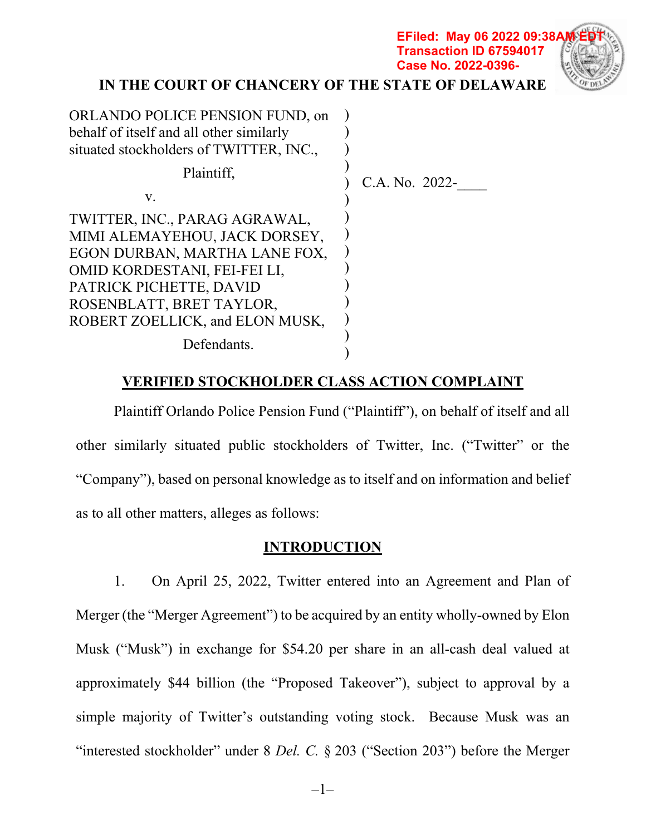**EFiled: May 06 2022 09:38A Transaction ID 67594017 Case No. 2022-0396-**



# **IN THE COURT OF CHANCERY OF THE STATE OF DELAWARE**

| ORLANDO POLICE PENSION FUND, on<br>behalf of itself and all other similarly<br>situated stockholders of TWITTER, INC.,                                                                                                    |                |
|---------------------------------------------------------------------------------------------------------------------------------------------------------------------------------------------------------------------------|----------------|
| Plaintiff,                                                                                                                                                                                                                | C.A. No. 2022- |
| V.                                                                                                                                                                                                                        |                |
| TWITTER, INC., PARAG AGRAWAL,<br>MIMI ALEMAYEHOU, JACK DORSEY,<br>EGON DURBAN, MARTHA LANE FOX,<br>OMID KORDESTANI, FEI-FEI LI,<br>PATRICK PICHETTE, DAVID<br>ROSENBLATT, BRET TAYLOR,<br>ROBERT ZOELLICK, and ELON MUSK, |                |
| Defendants.                                                                                                                                                                                                               |                |

# **VERIFIED STOCKHOLDER CLASS ACTION COMPLAINT**

Plaintiff Orlando Police Pension Fund ("Plaintiff"), on behalf of itself and all other similarly situated public stockholders of Twitter, Inc. ("Twitter" or the "Company"), based on personal knowledge as to itself and on information and belief as to all other matters, alleges as follows:

# **INTRODUCTION**

1. On April 25, 2022, Twitter entered into an Agreement and Plan of Merger (the "Merger Agreement") to be acquired by an entity wholly-owned by Elon Musk ("Musk") in exchange for \$54.20 per share in an all-cash deal valued at approximately \$44 billion (the "Proposed Takeover"), subject to approval by a simple majority of Twitter's outstanding voting stock. Because Musk was an "interested stockholder" under 8 *Del. C.* § 203 ("Section 203") before the Merger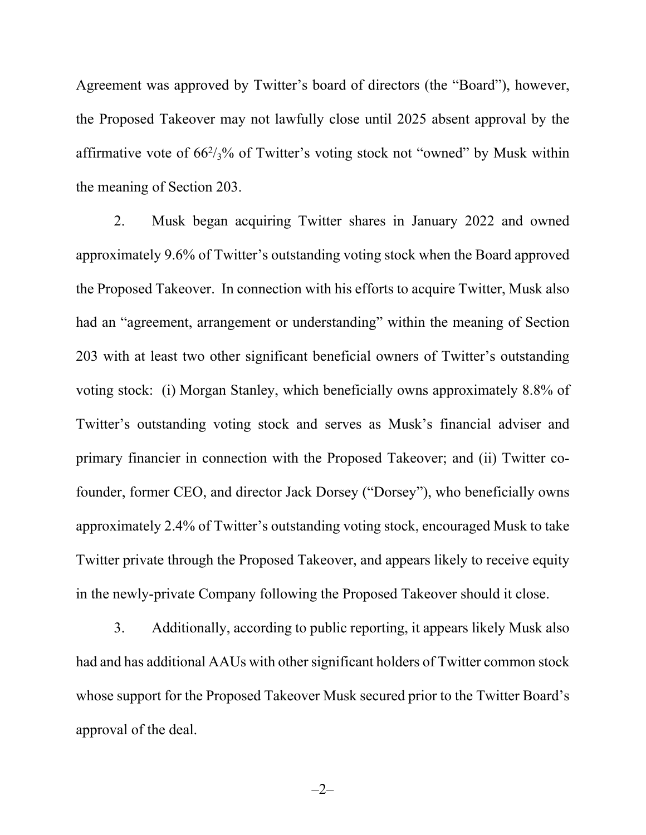Agreement was approved by Twitter's board of directors (the "Board"), however, the Proposed Takeover may not lawfully close until 2025 absent approval by the affirmative vote of  $66\frac{2}{3}\%$  of Twitter's voting stock not "owned" by Musk within the meaning of Section 203.

2. Musk began acquiring Twitter shares in January 2022 and owned approximately 9.6% of Twitter's outstanding voting stock when the Board approved the Proposed Takeover. In connection with his efforts to acquire Twitter, Musk also had an "agreement, arrangement or understanding" within the meaning of Section 203 with at least two other significant beneficial owners of Twitter's outstanding voting stock: (i) Morgan Stanley, which beneficially owns approximately 8.8% of Twitter's outstanding voting stock and serves as Musk's financial adviser and primary financier in connection with the Proposed Takeover; and (ii) Twitter cofounder, former CEO, and director Jack Dorsey ("Dorsey"), who beneficially owns approximately 2.4% of Twitter's outstanding voting stock, encouraged Musk to take Twitter private through the Proposed Takeover, and appears likely to receive equity in the newly-private Company following the Proposed Takeover should it close.

3. Additionally, according to public reporting, it appears likely Musk also had and has additional AAUs with other significant holders of Twitter common stock whose support for the Proposed Takeover Musk secured prior to the Twitter Board's approval of the deal.

–2–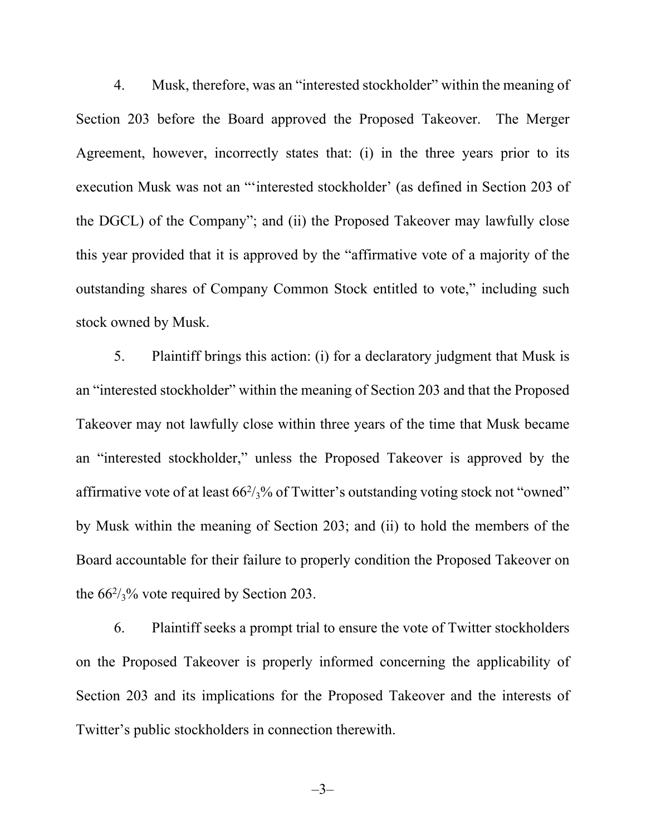4. Musk, therefore, was an "interested stockholder" within the meaning of Section 203 before the Board approved the Proposed Takeover. The Merger Agreement, however, incorrectly states that: (i) in the three years prior to its execution Musk was not an "'interested stockholder' (as defined in Section 203 of the DGCL) of the Company"; and (ii) the Proposed Takeover may lawfully close this year provided that it is approved by the "affirmative vote of a majority of the outstanding shares of Company Common Stock entitled to vote," including such stock owned by Musk.

5. Plaintiff brings this action: (i) for a declaratory judgment that Musk is an "interested stockholder" within the meaning of Section 203 and that the Proposed Takeover may not lawfully close within three years of the time that Musk became an "interested stockholder," unless the Proposed Takeover is approved by the affirmative vote of at least  $66\frac{2}{3}\%$  of Twitter's outstanding voting stock not "owned" by Musk within the meaning of Section 203; and (ii) to hold the members of the Board accountable for their failure to properly condition the Proposed Takeover on the  $66\frac{2}{3}\%$  vote required by Section 203.

6. Plaintiff seeks a prompt trial to ensure the vote of Twitter stockholders on the Proposed Takeover is properly informed concerning the applicability of Section 203 and its implications for the Proposed Takeover and the interests of Twitter's public stockholders in connection therewith.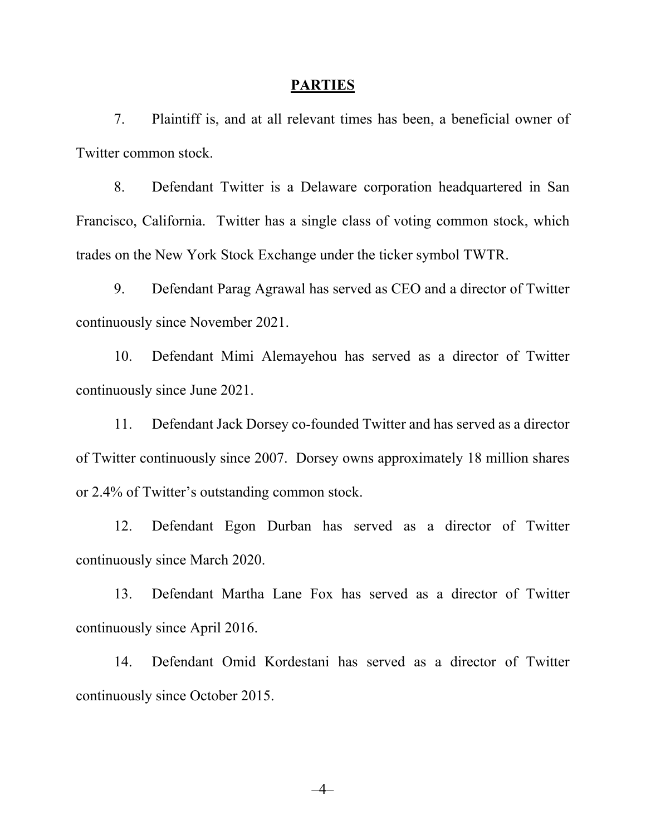#### **PARTIES**

7. Plaintiff is, and at all relevant times has been, a beneficial owner of Twitter common stock.

8. Defendant Twitter is a Delaware corporation headquartered in San Francisco, California. Twitter has a single class of voting common stock, which trades on the New York Stock Exchange under the ticker symbol TWTR.

9. Defendant Parag Agrawal has served as CEO and a director of Twitter continuously since November 2021.

10. Defendant Mimi Alemayehou has served as a director of Twitter continuously since June 2021.

11. Defendant Jack Dorsey co-founded Twitter and has served as a director of Twitter continuously since 2007. Dorsey owns approximately 18 million shares or 2.4% of Twitter's outstanding common stock.

12. Defendant Egon Durban has served as a director of Twitter continuously since March 2020.

13. Defendant Martha Lane Fox has served as a director of Twitter continuously since April 2016.

14. Defendant Omid Kordestani has served as a director of Twitter continuously since October 2015.

–4–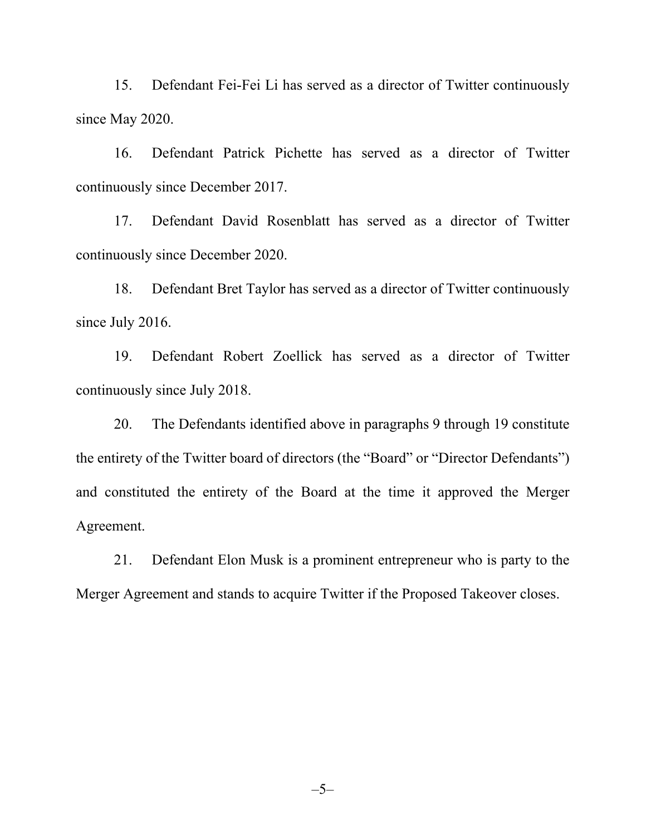15. Defendant Fei-Fei Li has served as a director of Twitter continuously since May 2020.

16. Defendant Patrick Pichette has served as a director of Twitter continuously since December 2017.

17. Defendant David Rosenblatt has served as a director of Twitter continuously since December 2020.

18. Defendant Bret Taylor has served as a director of Twitter continuously since July 2016.

19. Defendant Robert Zoellick has served as a director of Twitter continuously since July 2018.

20. The Defendants identified above in paragraphs 9 through 19 constitute the entirety of the Twitter board of directors (the "Board" or "Director Defendants") and constituted the entirety of the Board at the time it approved the Merger Agreement.

21. Defendant Elon Musk is a prominent entrepreneur who is party to the Merger Agreement and stands to acquire Twitter if the Proposed Takeover closes.

–5–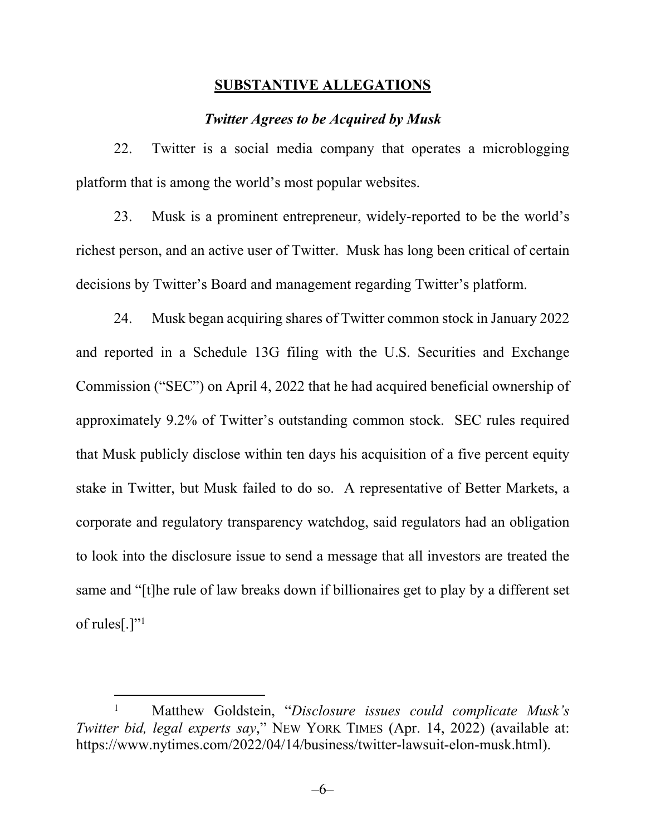## **SUBSTANTIVE ALLEGATIONS**

#### *Twitter Agrees to be Acquired by Musk*

22. Twitter is a social media company that operates a microblogging platform that is among the world's most popular websites.

23. Musk is a prominent entrepreneur, widely-reported to be the world's richest person, and an active user of Twitter. Musk has long been critical of certain decisions by Twitter's Board and management regarding Twitter's platform.

24. Musk began acquiring shares of Twitter common stock in January 2022 and reported in a Schedule 13G filing with the U.S. Securities and Exchange Commission ("SEC") on April 4, 2022 that he had acquired beneficial ownership of approximately 9.2% of Twitter's outstanding common stock. SEC rules required that Musk publicly disclose within ten days his acquisition of a five percent equity stake in Twitter, but Musk failed to do so. A representative of Better Markets, a corporate and regulatory transparency watchdog, said regulators had an obligation to look into the disclosure issue to send a message that all investors are treated the same and "[t]he rule of law breaks down if billionaires get to play by a different set of rules[.]" $^1$ 

<sup>1</sup> Matthew Goldstein, "*Disclosure issues could complicate Musk's Twitter bid, legal experts say*," NEW YORK TIMES (Apr. 14, 2022) (available at: https://www.nytimes.com/2022/04/14/business/twitter-lawsuit-elon-musk.html).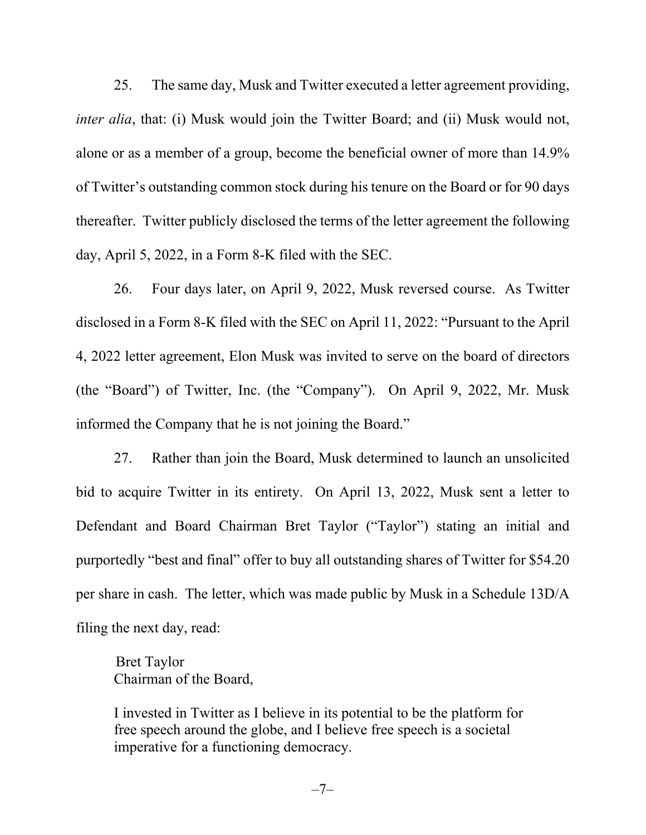25. The same day, Musk and Twitter executed a letter agreement providing, *inter alia*, that: (i) Musk would join the Twitter Board; and (ii) Musk would not, alone or as a member of a group, become the beneficial owner of more than 14.9% of Twitter's outstanding common stock during his tenure on the Board or for 90 days thereafter. Twitter publicly disclosed the terms of the letter agreement the following day, April 5, 2022, in a Form 8-K filed with the SEC.

26. Four days later, on April 9, 2022, Musk reversed course. As Twitter disclosed in a Form 8-K filed with the SEC on April 11, 2022: "Pursuant to the April 4, 2022 letter agreement, Elon Musk was invited to serve on the board of directors (the "Board") of Twitter, Inc. (the "Company"). On April 9, 2022, Mr. Musk informed the Company that he is not joining the Board."

27. Rather than join the Board, Musk determined to launch an unsolicited bid to acquire Twitter in its entirety. On April 13, 2022, Musk sent a letter to Defendant and Board Chairman Bret Taylor ("Taylor") stating an initial and purportedly "best and final" offer to buy all outstanding shares of Twitter for \$54.20 per share in cash. The letter, which was made public by Musk in a Schedule 13D/A filing the next day, read:

Bret Taylor Chairman of the Board,

I invested in Twitter as I believe in its potential to be the platform for free speech around the globe, and I believe free speech is a societal imperative for a functioning democracy.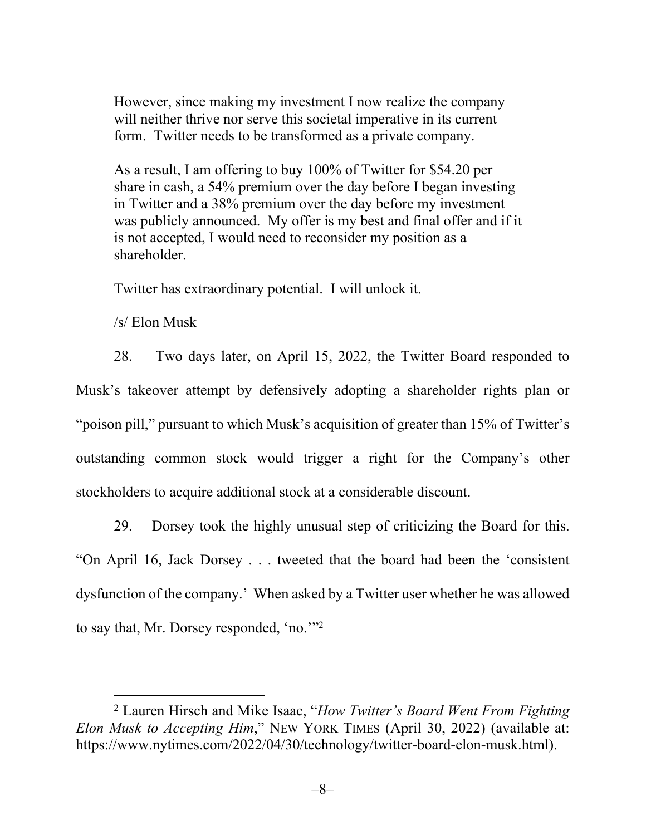However, since making my investment I now realize the company will neither thrive nor serve this societal imperative in its current form. Twitter needs to be transformed as a private company.

As a result, I am offering to buy 100% of Twitter for \$54.20 per share in cash, a 54% premium over the day before I began investing in Twitter and a 38% premium over the day before my investment was publicly announced. My offer is my best and final offer and if it is not accepted, I would need to reconsider my position as a shareholder.

Twitter has extraordinary potential. I will unlock it.

/s/ Elon Musk

28. Two days later, on April 15, 2022, the Twitter Board responded to Musk's takeover attempt by defensively adopting a shareholder rights plan or "poison pill," pursuant to which Musk's acquisition of greater than 15% of Twitter's outstanding common stock would trigger a right for the Company's other stockholders to acquire additional stock at a considerable discount.

29. Dorsey took the highly unusual step of criticizing the Board for this. "On April 16, Jack Dorsey . . . tweeted that the board had been the 'consistent dysfunction of the company.' When asked by a Twitter user whether he was allowed to say that, Mr. Dorsey responded, 'no.'"<sup>2</sup>

<sup>2</sup> Lauren Hirsch and Mike Isaac, "*How Twitter's Board Went From Fighting Elon Musk to Accepting Him*," NEW YORK TIMES (April 30, 2022) (available at: https://www.nytimes.com/2022/04/30/technology/twitter-board-elon-musk.html).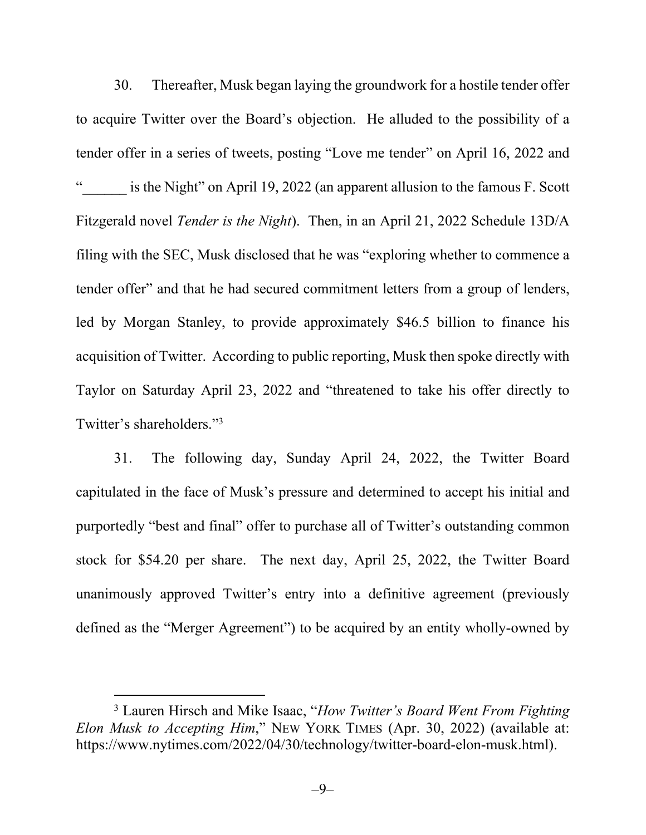30. Thereafter, Musk began laying the groundwork for a hostile tender offer to acquire Twitter over the Board's objection. He alluded to the possibility of a tender offer in a series of tweets, posting "Love me tender" on April 16, 2022 and is the Night" on April 19, 2022 (an apparent allusion to the famous F. Scott Fitzgerald novel *Tender is the Night*). Then, in an April 21, 2022 Schedule 13D/A filing with the SEC, Musk disclosed that he was "exploring whether to commence a tender offer" and that he had secured commitment letters from a group of lenders, led by Morgan Stanley, to provide approximately \$46.5 billion to finance his acquisition of Twitter. According to public reporting, Musk then spoke directly with Taylor on Saturday April 23, 2022 and "threatened to take his offer directly to Twitter's shareholders."<sup>3</sup>

31. The following day, Sunday April 24, 2022, the Twitter Board capitulated in the face of Musk's pressure and determined to accept his initial and purportedly "best and final" offer to purchase all of Twitter's outstanding common stock for \$54.20 per share. The next day, April 25, 2022, the Twitter Board unanimously approved Twitter's entry into a definitive agreement (previously defined as the "Merger Agreement") to be acquired by an entity wholly-owned by

<sup>3</sup> Lauren Hirsch and Mike Isaac, "*How Twitter's Board Went From Fighting Elon Musk to Accepting Him*," NEW YORK TIMES (Apr. 30, 2022) (available at: https://www.nytimes.com/2022/04/30/technology/twitter-board-elon-musk.html).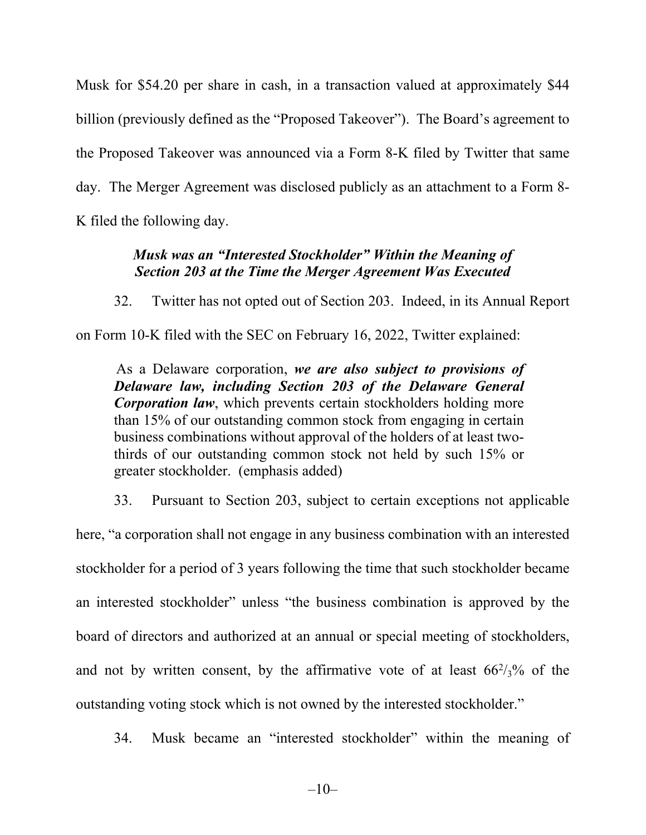Musk for \$54.20 per share in cash, in a transaction valued at approximately \$44 billion (previously defined as the "Proposed Takeover"). The Board's agreement to the Proposed Takeover was announced via a Form 8-K filed by Twitter that same day. The Merger Agreement was disclosed publicly as an attachment to a Form 8- K filed the following day.

# *Musk was an "Interested Stockholder" Within the Meaning of Section 203 at the Time the Merger Agreement Was Executed*

32. Twitter has not opted out of Section 203. Indeed, in its Annual Report

on Form 10-K filed with the SEC on February 16, 2022, Twitter explained:

As a Delaware corporation, *we are also subject to provisions of Delaware law, including Section 203 of the Delaware General Corporation law*, which prevents certain stockholders holding more than 15% of our outstanding common stock from engaging in certain business combinations without approval of the holders of at least twothirds of our outstanding common stock not held by such 15% or greater stockholder. (emphasis added)

33. Pursuant to Section 203, subject to certain exceptions not applicable here, "a corporation shall not engage in any business combination with an interested stockholder for a period of 3 years following the time that such stockholder became an interested stockholder" unless "the business combination is approved by the board of directors and authorized at an annual or special meeting of stockholders, and not by written consent, by the affirmative vote of at least  $66\frac{2}{3}\%$  of the outstanding voting stock which is not owned by the interested stockholder."

34. Musk became an "interested stockholder" within the meaning of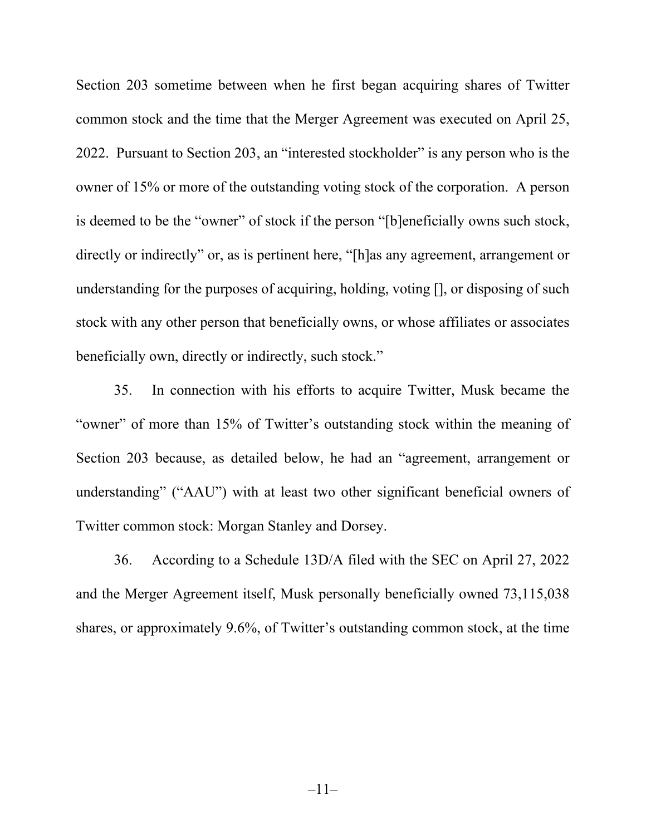Section 203 sometime between when he first began acquiring shares of Twitter common stock and the time that the Merger Agreement was executed on April 25, 2022. Pursuant to Section 203, an "interested stockholder" is any person who is the owner of 15% or more of the outstanding voting stock of the corporation. A person is deemed to be the "owner" of stock if the person "[b]eneficially owns such stock, directly or indirectly" or, as is pertinent here, "[h]as any agreement, arrangement or understanding for the purposes of acquiring, holding, voting [], or disposing of such stock with any other person that beneficially owns, or whose affiliates or associates beneficially own, directly or indirectly, such stock."

35. In connection with his efforts to acquire Twitter, Musk became the "owner" of more than 15% of Twitter's outstanding stock within the meaning of Section 203 because, as detailed below, he had an "agreement, arrangement or understanding" ("AAU") with at least two other significant beneficial owners of Twitter common stock: Morgan Stanley and Dorsey.

36. According to a Schedule 13D/A filed with the SEC on April 27, 2022 and the Merger Agreement itself, Musk personally beneficially owned 73,115,038 shares, or approximately 9.6%, of Twitter's outstanding common stock, at the time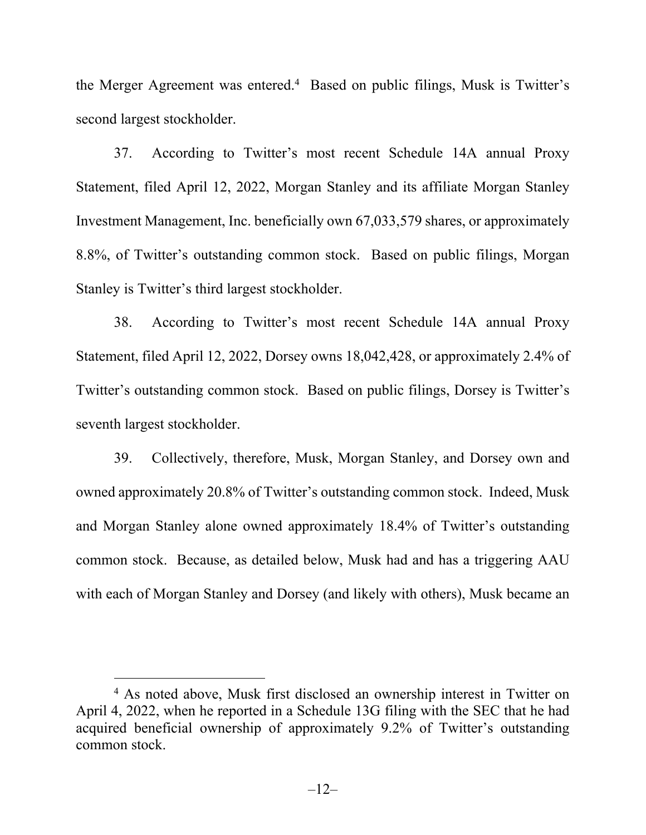the Merger Agreement was entered.<sup>4</sup> Based on public filings, Musk is Twitter's second largest stockholder.

37. According to Twitter's most recent Schedule 14A annual Proxy Statement, filed April 12, 2022, Morgan Stanley and its affiliate Morgan Stanley Investment Management, Inc. beneficially own 67,033,579 shares, or approximately 8.8%, of Twitter's outstanding common stock. Based on public filings, Morgan Stanley is Twitter's third largest stockholder.

38. According to Twitter's most recent Schedule 14A annual Proxy Statement, filed April 12, 2022, Dorsey owns 18,042,428, or approximately 2.4% of Twitter's outstanding common stock. Based on public filings, Dorsey is Twitter's seventh largest stockholder.

39. Collectively, therefore, Musk, Morgan Stanley, and Dorsey own and owned approximately 20.8% of Twitter's outstanding common stock. Indeed, Musk and Morgan Stanley alone owned approximately 18.4% of Twitter's outstanding common stock. Because, as detailed below, Musk had and has a triggering AAU with each of Morgan Stanley and Dorsey (and likely with others), Musk became an

<sup>4</sup> As noted above, Musk first disclosed an ownership interest in Twitter on April 4, 2022, when he reported in a Schedule 13G filing with the SEC that he had acquired beneficial ownership of approximately 9.2% of Twitter's outstanding common stock.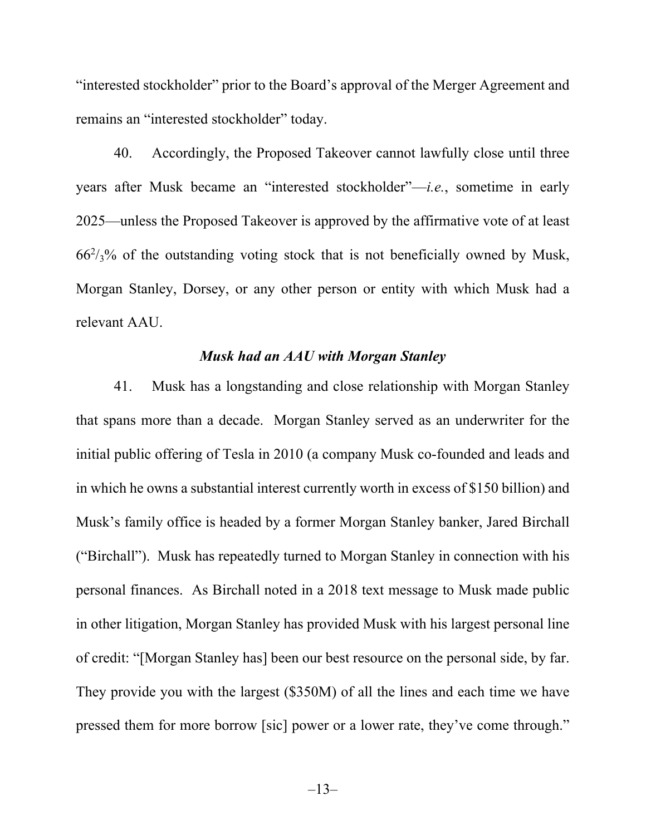"interested stockholder" prior to the Board's approval of the Merger Agreement and remains an "interested stockholder" today.

40. Accordingly, the Proposed Takeover cannot lawfully close until three years after Musk became an "interested stockholder"—*i.e.*, sometime in early 2025—unless the Proposed Takeover is approved by the affirmative vote of at least  $66\frac{2}{3}\%$  of the outstanding voting stock that is not beneficially owned by Musk, Morgan Stanley, Dorsey, or any other person or entity with which Musk had a relevant AAU.

### *Musk had an AAU with Morgan Stanley*

41. Musk has a longstanding and close relationship with Morgan Stanley that spans more than a decade. Morgan Stanley served as an underwriter for the initial public offering of Tesla in 2010 (a company Musk co-founded and leads and in which he owns a substantial interest currently worth in excess of \$150 billion) and Musk's family office is headed by a former Morgan Stanley banker, Jared Birchall ("Birchall"). Musk has repeatedly turned to Morgan Stanley in connection with his personal finances. As Birchall noted in a 2018 text message to Musk made public in other litigation, Morgan Stanley has provided Musk with his largest personal line of credit: "[Morgan Stanley has] been our best resource on the personal side, by far. They provide you with the largest (\$350M) of all the lines and each time we have pressed them for more borrow [sic] power or a lower rate, they've come through."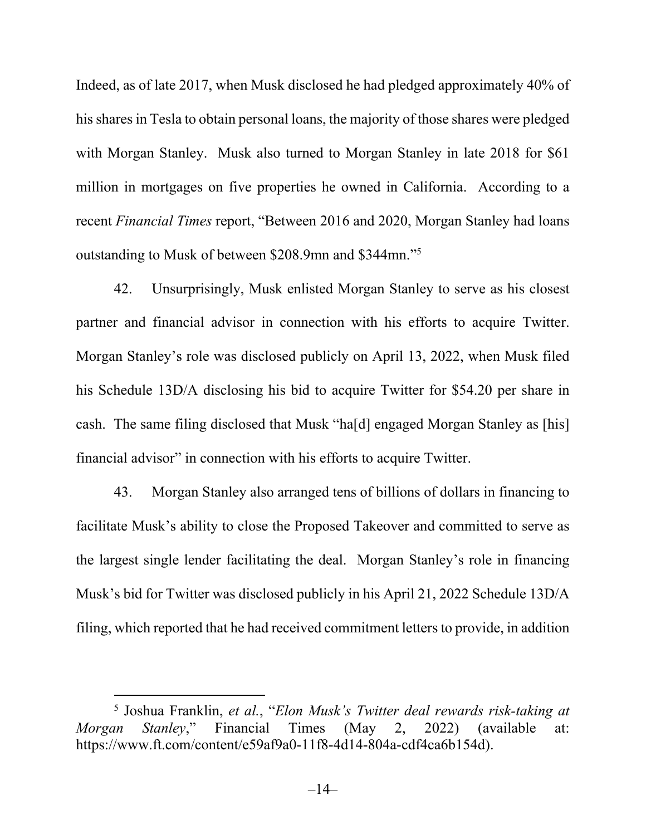Indeed, as of late 2017, when Musk disclosed he had pledged approximately 40% of his shares in Tesla to obtain personal loans, the majority of those shares were pledged with Morgan Stanley. Musk also turned to Morgan Stanley in late 2018 for \$61 million in mortgages on five properties he owned in California. According to a recent *Financial Times* report, "Between 2016 and 2020, Morgan Stanley had loans outstanding to Musk of between \$208.9mn and \$344mn."<sup>5</sup>

42. Unsurprisingly, Musk enlisted Morgan Stanley to serve as his closest partner and financial advisor in connection with his efforts to acquire Twitter. Morgan Stanley's role was disclosed publicly on April 13, 2022, when Musk filed his Schedule 13D/A disclosing his bid to acquire Twitter for \$54.20 per share in cash. The same filing disclosed that Musk "ha[d] engaged Morgan Stanley as [his] financial advisor" in connection with his efforts to acquire Twitter.

43. Morgan Stanley also arranged tens of billions of dollars in financing to facilitate Musk's ability to close the Proposed Takeover and committed to serve as the largest single lender facilitating the deal. Morgan Stanley's role in financing Musk's bid for Twitter was disclosed publicly in his April 21, 2022 Schedule 13D/A filing, which reported that he had received commitment letters to provide, in addition

<sup>5</sup> Joshua Franklin, *et al.*, "*Elon Musk's Twitter deal rewards risk-taking at Morgan Stanley*," Financial Times (May 2, 2022) (available at: https://www.ft.com/content/e59af9a0-11f8-4d14-804a-cdf4ca6b154d).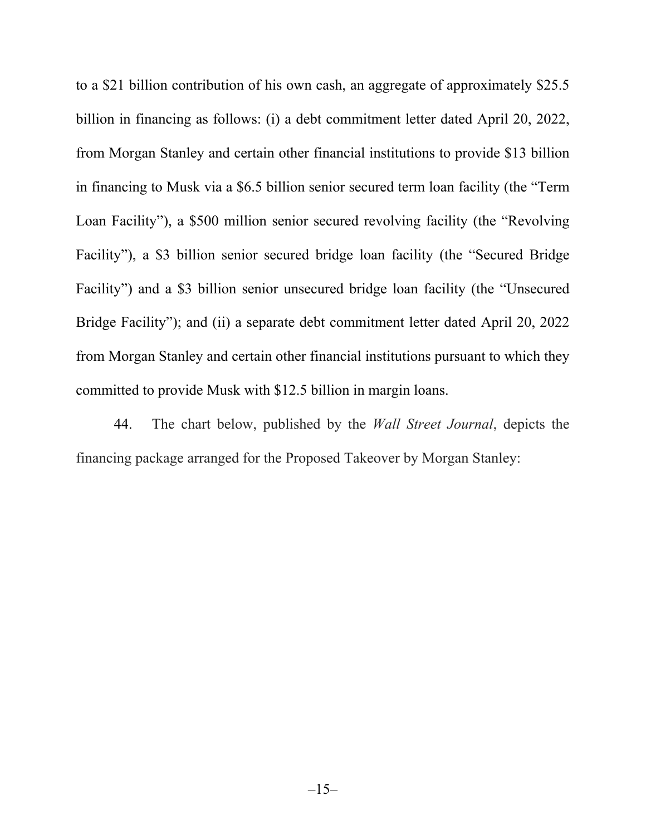to a \$21 billion contribution of his own cash, an aggregate of approximately \$25.5 billion in financing as follows: (i) a debt commitment letter dated April 20, 2022, from Morgan Stanley and certain other financial institutions to provide \$13 billion in financing to Musk via a \$6.5 billion senior secured term loan facility (the "Term Loan Facility"), a \$500 million senior secured revolving facility (the "Revolving Facility"), a \$3 billion senior secured bridge loan facility (the "Secured Bridge Facility") and a \$3 billion senior unsecured bridge loan facility (the "Unsecured Bridge Facility"); and (ii) a separate debt commitment letter dated April 20, 2022 from Morgan Stanley and certain other financial institutions pursuant to which they committed to provide Musk with \$12.5 billion in margin loans.

44. The chart below, published by the *Wall Street Journal*, depicts the financing package arranged for the Proposed Takeover by Morgan Stanley: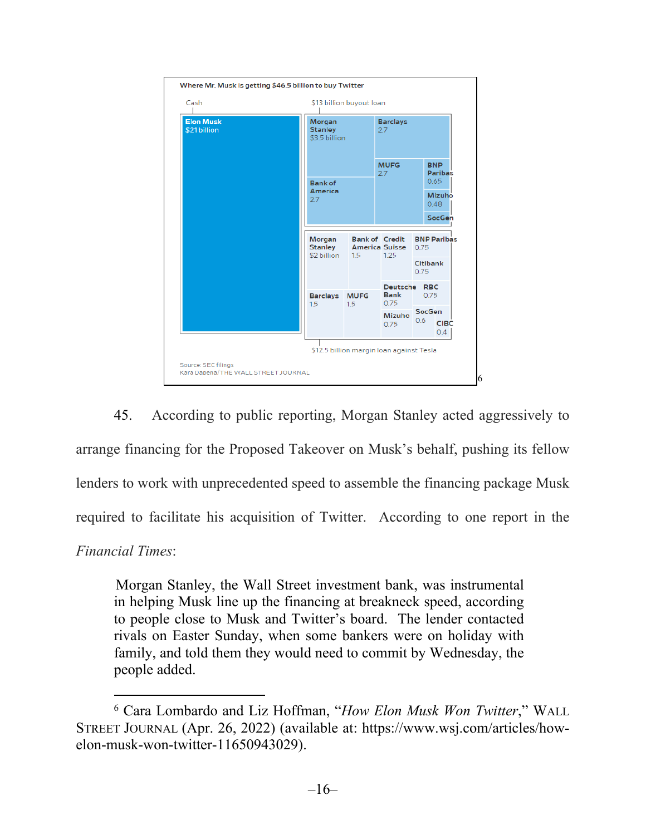

45. According to public reporting, Morgan Stanley acted aggressively to arrange financing for the Proposed Takeover on Musk's behalf, pushing its fellow lenders to work with unprecedented speed to assemble the financing package Musk required to facilitate his acquisition of Twitter. According to one report in the

*Financial Times*:

Morgan Stanley, the Wall Street investment bank, was instrumental in helping Musk line up the financing at breakneck speed, according to people close to Musk and Twitter's board. The lender contacted rivals on Easter Sunday, when some bankers were on holiday with family, and told them they would need to commit by Wednesday, the people added.

<sup>6</sup> Cara Lombardo and Liz Hoffman, "*How Elon Musk Won Twitter*," WALL STREET JOURNAL (Apr. 26, 2022) (available at: https://www.wsj.com/articles/howelon-musk-won-twitter-11650943029).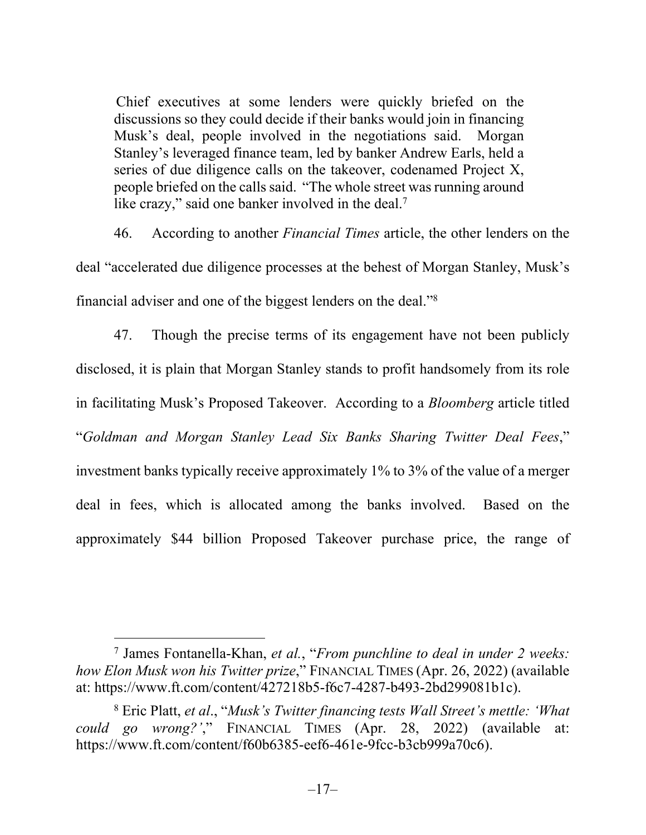Chief executives at some lenders were quickly briefed on the discussions so they could decide if their banks would join in financing Musk's deal, people involved in the negotiations said. Morgan Stanley's leveraged finance team, led by banker Andrew Earls, held a series of due diligence calls on the takeover, codenamed Project X, people briefed on the calls said. "The whole street was running around like crazy," said one banker involved in the deal.<sup>7</sup>

46. According to another *Financial Times* article, the other lenders on the deal "accelerated due diligence processes at the behest of Morgan Stanley, Musk's financial adviser and one of the biggest lenders on the deal."<sup>8</sup>

47. Though the precise terms of its engagement have not been publicly disclosed, it is plain that Morgan Stanley stands to profit handsomely from its role in facilitating Musk's Proposed Takeover. According to a *Bloomberg* article titled "*Goldman and Morgan Stanley Lead Six Banks Sharing Twitter Deal Fees*," investment banks typically receive approximately 1% to 3% of the value of a merger deal in fees, which is allocated among the banks involved. Based on the approximately \$44 billion Proposed Takeover purchase price, the range of

<sup>7</sup> James Fontanella-Khan, *et al.*, "*From punchline to deal in under 2 weeks: how Elon Musk won his Twitter prize*," FINANCIAL TIMES (Apr. 26, 2022) (available at: https://www.ft.com/content/427218b5-f6c7-4287-b493-2bd299081b1c).

<sup>8</sup> Eric Platt, *et al*., "*Musk's Twitter financing tests Wall Street's mettle: 'What could go wrong?'*," FINANCIAL TIMES (Apr. 28, 2022) (available at: https://www.ft.com/content/f60b6385-eef6-461e-9fcc-b3cb999a70c6).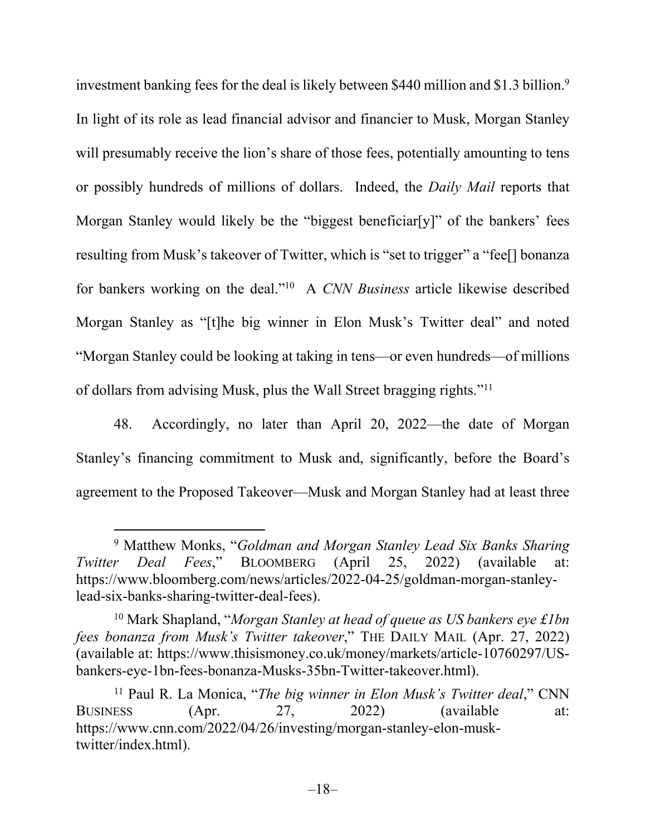investment banking fees for the deal is likely between \$440 million and \$1.3 billion.<sup>9</sup> In light of its role as lead financial advisor and financier to Musk, Morgan Stanley will presumably receive the lion's share of those fees, potentially amounting to tens or possibly hundreds of millions of dollars. Indeed, the *Daily Mail* reports that Morgan Stanley would likely be the "biggest beneficiar[y]" of the bankers' fees resulting from Musk's takeover of Twitter, which is "set to trigger" a "fee[] bonanza for bankers working on the deal."<sup>10</sup> A *CNN Business* article likewise described Morgan Stanley as "[t]he big winner in Elon Musk's Twitter deal" and noted "Morgan Stanley could be looking at taking in tens—or even hundreds—of millions of dollars from advising Musk, plus the Wall Street bragging rights."<sup>11</sup>

48. Accordingly, no later than April 20, 2022—the date of Morgan Stanley's financing commitment to Musk and, significantly, before the Board's agreement to the Proposed Takeover—Musk and Morgan Stanley had at least three

<sup>9</sup> Matthew Monks, "*Goldman and Morgan Stanley Lead Six Banks Sharing Twitter Deal Fees*," BLOOMBERG (April 25, 2022) (available at: https://www.bloomberg.com/news/articles/2022-04-25/goldman-morgan-stanleylead-six-banks-sharing-twitter-deal-fees).

<sup>10</sup> Mark Shapland, "*Morgan Stanley at head of queue as US bankers eye £1bn fees bonanza from Musk's Twitter takeover*," THE DAILY MAIL (Apr. 27, 2022) (available at: https://www.thisismoney.co.uk/money/markets/article-10760297/USbankers-eye-1bn-fees-bonanza-Musks-35bn-Twitter-takeover.html).

<sup>11</sup> Paul R. La Monica, "*The big winner in Elon Musk's Twitter deal*," CNN BUSINESS (Apr. 27, 2022) (available at: https://www.cnn.com/2022/04/26/investing/morgan-stanley-elon-musktwitter/index.html).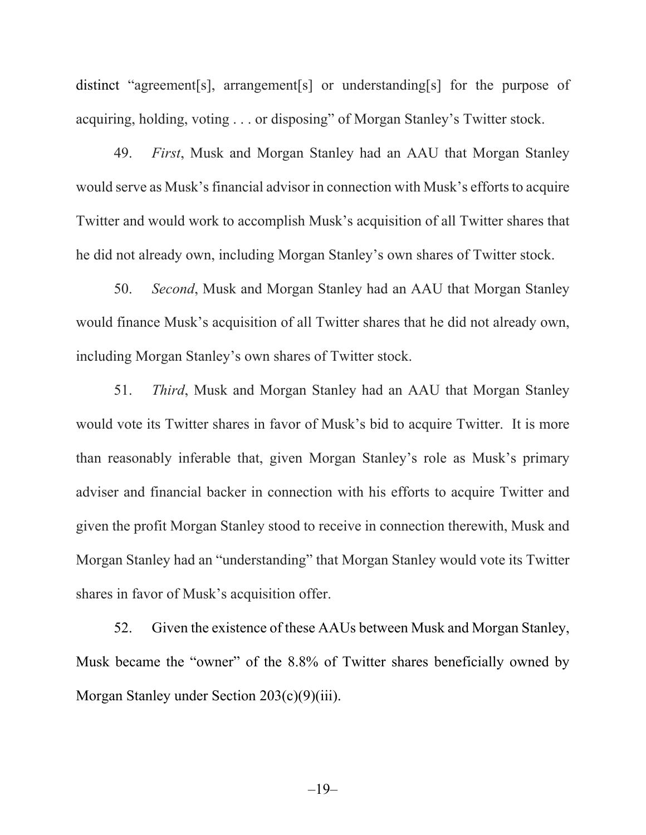distinct "agreement[s], arrangement[s] or understanding[s] for the purpose of acquiring, holding, voting . . . or disposing" of Morgan Stanley's Twitter stock.

49. *First*, Musk and Morgan Stanley had an AAU that Morgan Stanley would serve as Musk's financial advisor in connection with Musk's efforts to acquire Twitter and would work to accomplish Musk's acquisition of all Twitter shares that he did not already own, including Morgan Stanley's own shares of Twitter stock.

50. *Second*, Musk and Morgan Stanley had an AAU that Morgan Stanley would finance Musk's acquisition of all Twitter shares that he did not already own, including Morgan Stanley's own shares of Twitter stock.

51. *Third*, Musk and Morgan Stanley had an AAU that Morgan Stanley would vote its Twitter shares in favor of Musk's bid to acquire Twitter. It is more than reasonably inferable that, given Morgan Stanley's role as Musk's primary adviser and financial backer in connection with his efforts to acquire Twitter and given the profit Morgan Stanley stood to receive in connection therewith, Musk and Morgan Stanley had an "understanding" that Morgan Stanley would vote its Twitter shares in favor of Musk's acquisition offer.

52. Given the existence of these AAUs between Musk and Morgan Stanley, Musk became the "owner" of the 8.8% of Twitter shares beneficially owned by Morgan Stanley under Section 203(c)(9)(iii).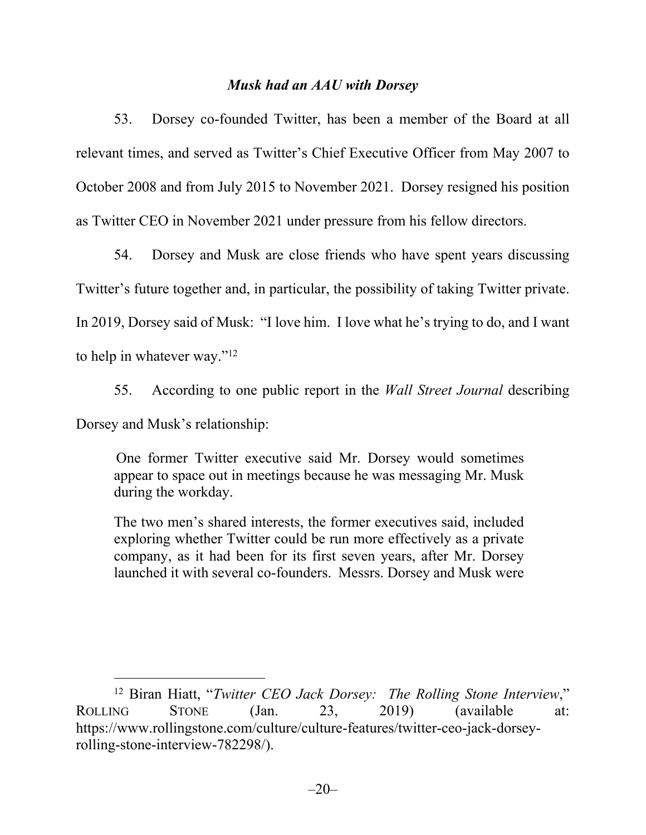## *Musk had an AAU with Dorsey*

53. Dorsey co-founded Twitter, has been a member of the Board at all relevant times, and served as Twitter's Chief Executive Officer from May 2007 to October 2008 and from July 2015 to November 2021. Dorsey resigned his position as Twitter CEO in November 2021 under pressure from his fellow directors.

54. Dorsey and Musk are close friends who have spent years discussing Twitter's future together and, in particular, the possibility of taking Twitter private. In 2019, Dorsey said of Musk: "I love him. I love what he's trying to do, and I want to help in whatever way."<sup>12</sup>

55. According to one public report in the *Wall Street Journal* describing Dorsey and Musk's relationship:

One former Twitter executive said Mr. Dorsey would sometimes appear to space out in meetings because he was messaging Mr. Musk during the workday.

The two men's shared interests, the former executives said, included exploring whether Twitter could be run more effectively as a private company, as it had been for its first seven years, after Mr. Dorsey launched it with several co-founders. Messrs. Dorsey and Musk were

<sup>12</sup> Biran Hiatt, "*Twitter CEO Jack Dorsey: The Rolling Stone Interview*," ROLLING STONE (Jan. 23, 2019) (available at: https://www.rollingstone.com/culture/culture-features/twitter-ceo-jack-dorseyrolling-stone-interview-782298/).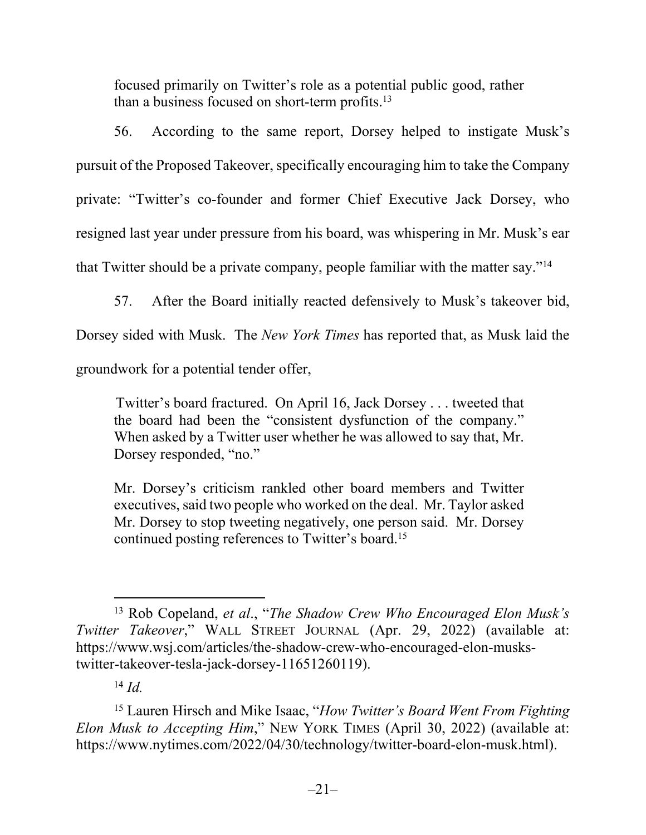focused primarily on Twitter's role as a potential public good, rather than a business focused on short-term profits.<sup>13</sup>

56. According to the same report, Dorsey helped to instigate Musk's pursuit of the Proposed Takeover, specifically encouraging him to take the Company private: "Twitter's co-founder and former Chief Executive Jack Dorsey, who resigned last year under pressure from his board, was whispering in Mr. Musk's ear that Twitter should be a private company, people familiar with the matter say."<sup>14</sup>

57. After the Board initially reacted defensively to Musk's takeover bid,

Dorsey sided with Musk. The *New York Times* has reported that, as Musk laid the

groundwork for a potential tender offer,

Twitter's board fractured. On April 16, Jack Dorsey . . . tweeted that the board had been the "consistent dysfunction of the company." When asked by a Twitter user whether he was allowed to say that, Mr. Dorsey responded, "no."

Mr. Dorsey's criticism rankled other board members and Twitter executives, said two people who worked on the deal. Mr. Taylor asked Mr. Dorsey to stop tweeting negatively, one person said. Mr. Dorsey continued posting references to Twitter's board.<sup>15</sup>

<sup>13</sup> Rob Copeland, *et al*., "*The Shadow Crew Who Encouraged Elon Musk's Twitter Takeover*," WALL STREET JOURNAL (Apr. 29, 2022) (available at: https://www.wsj.com/articles/the-shadow-crew-who-encouraged-elon-muskstwitter-takeover-tesla-jack-dorsey-11651260119).

<sup>14</sup> *Id.*

<sup>15</sup> Lauren Hirsch and Mike Isaac, "*How Twitter's Board Went From Fighting Elon Musk to Accepting Him*," NEW YORK TIMES (April 30, 2022) (available at: https://www.nytimes.com/2022/04/30/technology/twitter-board-elon-musk.html).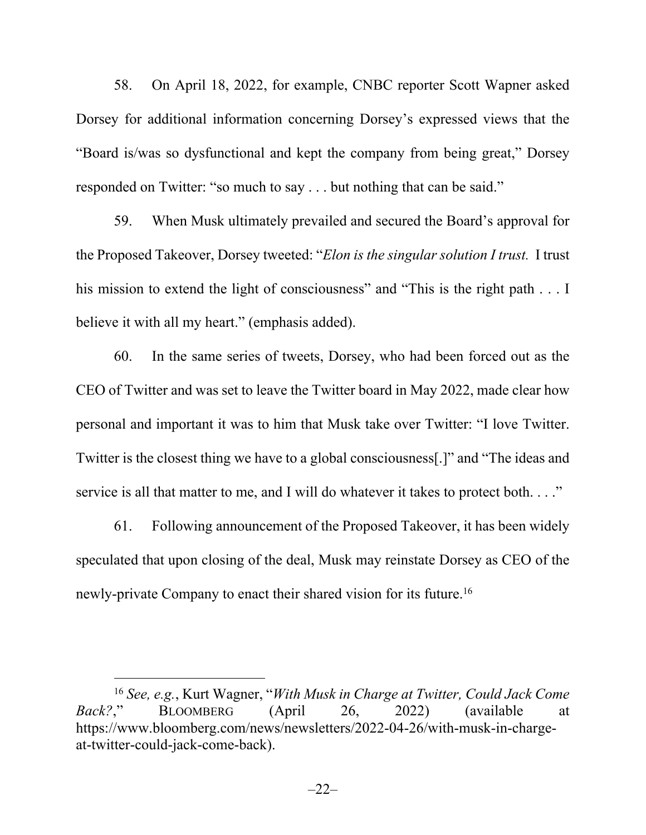58. On April 18, 2022, for example, CNBC reporter Scott Wapner asked Dorsey for additional information concerning Dorsey's expressed views that the "Board is/was so dysfunctional and kept the company from being great," Dorsey responded on Twitter: "so much to say . . . but nothing that can be said."

59. When Musk ultimately prevailed and secured the Board's approval for the Proposed Takeover, Dorsey tweeted: "*Elon is the singular solution I trust.* I trust his mission to extend the light of consciousness" and "This is the right path . . . I believe it with all my heart." (emphasis added).

60. In the same series of tweets, Dorsey, who had been forced out as the CEO of Twitter and was set to leave the Twitter board in May 2022, made clear how personal and important it was to him that Musk take over Twitter: "I love Twitter. Twitter is the closest thing we have to a global consciousness[.]" and "The ideas and service is all that matter to me, and I will do whatever it takes to protect both...."

61. Following announcement of the Proposed Takeover, it has been widely speculated that upon closing of the deal, Musk may reinstate Dorsey as CEO of the newly-private Company to enact their shared vision for its future.<sup>16</sup>

<sup>16</sup> *See, e.g.*, Kurt Wagner, "*With Musk in Charge at Twitter, Could Jack Come Back?*," BLOOMBERG (April 26, 2022) (available at https://www.bloomberg.com/news/newsletters/2022-04-26/with-musk-in-chargeat-twitter-could-jack-come-back).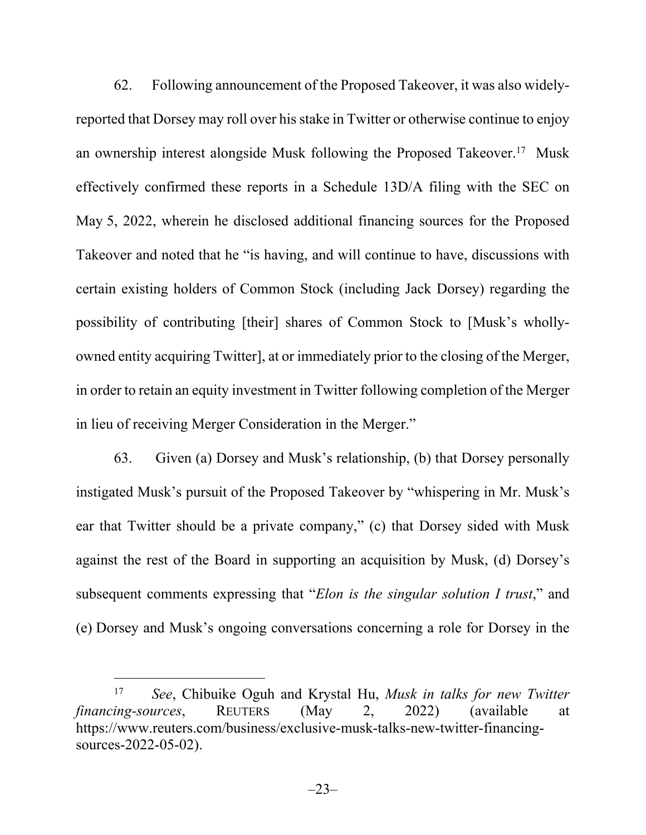62. Following announcement of the Proposed Takeover, it was also widelyreported that Dorsey may roll over his stake in Twitter or otherwise continue to enjoy an ownership interest alongside Musk following the Proposed Takeover.<sup>17</sup> Musk effectively confirmed these reports in a Schedule 13D/A filing with the SEC on May 5, 2022, wherein he disclosed additional financing sources for the Proposed Takeover and noted that he "is having, and will continue to have, discussions with certain existing holders of Common Stock (including Jack Dorsey) regarding the possibility of contributing [their] shares of Common Stock to [Musk's whollyowned entity acquiring Twitter], at or immediately prior to the closing of the Merger, in order to retain an equity investment in Twitter following completion of the Merger in lieu of receiving Merger Consideration in the Merger."

63. Given (a) Dorsey and Musk's relationship, (b) that Dorsey personally instigated Musk's pursuit of the Proposed Takeover by "whispering in Mr. Musk's ear that Twitter should be a private company," (c) that Dorsey sided with Musk against the rest of the Board in supporting an acquisition by Musk, (d) Dorsey's subsequent comments expressing that "*Elon is the singular solution I trust*," and (e) Dorsey and Musk's ongoing conversations concerning a role for Dorsey in the

<sup>17</sup> *See*, Chibuike Oguh and Krystal Hu, *Musk in talks for new Twitter financing-sources*, REUTERS (May 2, 2022) (available at https://www.reuters.com/business/exclusive-musk-talks-new-twitter-financingsources-2022-05-02).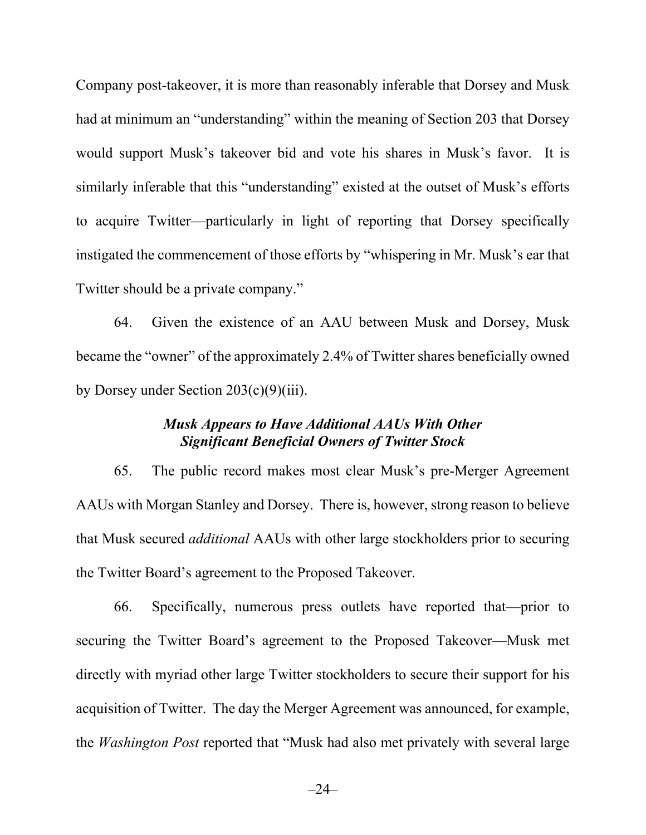Company post-takeover, it is more than reasonably inferable that Dorsey and Musk had at minimum an "understanding" within the meaning of Section 203 that Dorsey would support Musk's takeover bid and vote his shares in Musk's favor. It is similarly inferable that this "understanding" existed at the outset of Musk's efforts to acquire Twitter—particularly in light of reporting that Dorsey specifically instigated the commencement of those efforts by "whispering in Mr. Musk's ear that Twitter should be a private company."

64. Given the existence of an AAU between Musk and Dorsey, Musk became the "owner" of the approximately 2.4% of Twitter shares beneficially owned by Dorsey under Section  $203(c)(9)(iii)$ .

## *Musk Appears to Have Additional AAUs With Other Significant Beneficial Owners of Twitter Stock*

65. The public record makes most clear Musk's pre-Merger Agreement AAUs with Morgan Stanley and Dorsey. There is, however, strong reason to believe that Musk secured *additional* AAUs with other large stockholders prior to securing the Twitter Board's agreement to the Proposed Takeover.

66. Specifically, numerous press outlets have reported that—prior to securing the Twitter Board's agreement to the Proposed Takeover—Musk met directly with myriad other large Twitter stockholders to secure their support for his acquisition of Twitter. The day the Merger Agreement was announced, for example, the *Washington Post* reported that "Musk had also met privately with several large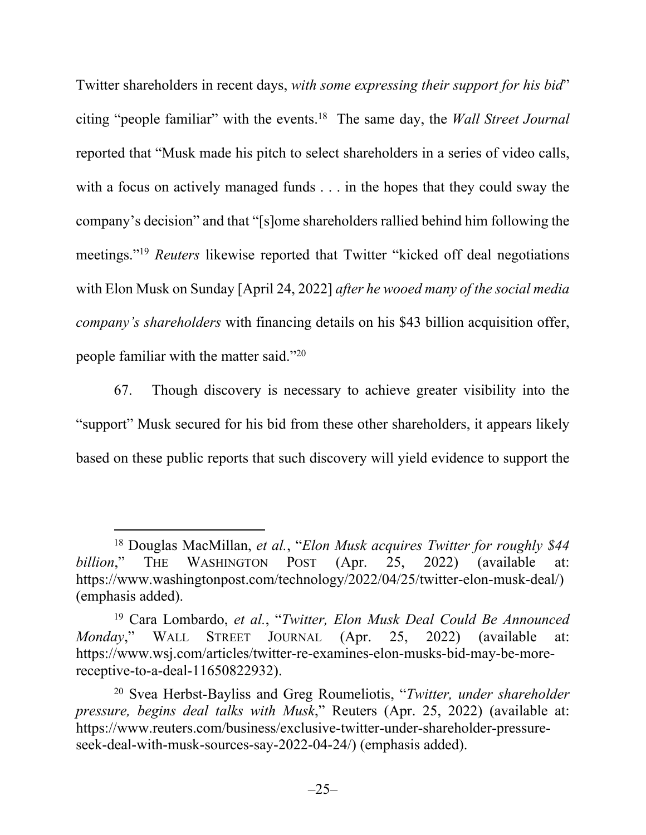Twitter shareholders in recent days, *with some expressing their support for his bid*" citing "people familiar" with the events.<sup>18</sup> The same day, the *Wall Street Journal*  reported that "Musk made his pitch to select shareholders in a series of video calls, with a focus on actively managed funds . . . in the hopes that they could sway the company's decision" and that "[s]ome shareholders rallied behind him following the meetings."<sup>19</sup> *Reuters* likewise reported that Twitter "kicked off deal negotiations with Elon Musk on Sunday [April 24, 2022] *after he wooed many of the social media company's shareholders* with financing details on his \$43 billion acquisition offer, people familiar with the matter said."<sup>20</sup>

67. Though discovery is necessary to achieve greater visibility into the "support" Musk secured for his bid from these other shareholders, it appears likely based on these public reports that such discovery will yield evidence to support the

<sup>18</sup> Douglas MacMillan, *et al.*, "*Elon Musk acquires Twitter for roughly \$44 billion*," THE WASHINGTON POST (Apr. 25, 2022) (available at: https://www.washingtonpost.com/technology/2022/04/25/twitter-elon-musk-deal/) (emphasis added).

<sup>19</sup> Cara Lombardo, *et al.*, "*Twitter, Elon Musk Deal Could Be Announced Monday*," WALL STREET JOURNAL (Apr. 25, 2022) (available at: https://www.wsj.com/articles/twitter-re-examines-elon-musks-bid-may-be-morereceptive-to-a-deal-11650822932).

<sup>20</sup> Svea Herbst-Bayliss and Greg Roumeliotis, "*Twitter, under shareholder pressure, begins deal talks with Musk*," Reuters (Apr. 25, 2022) (available at: https://www.reuters.com/business/exclusive-twitter-under-shareholder-pressureseek-deal-with-musk-sources-say-2022-04-24/) (emphasis added).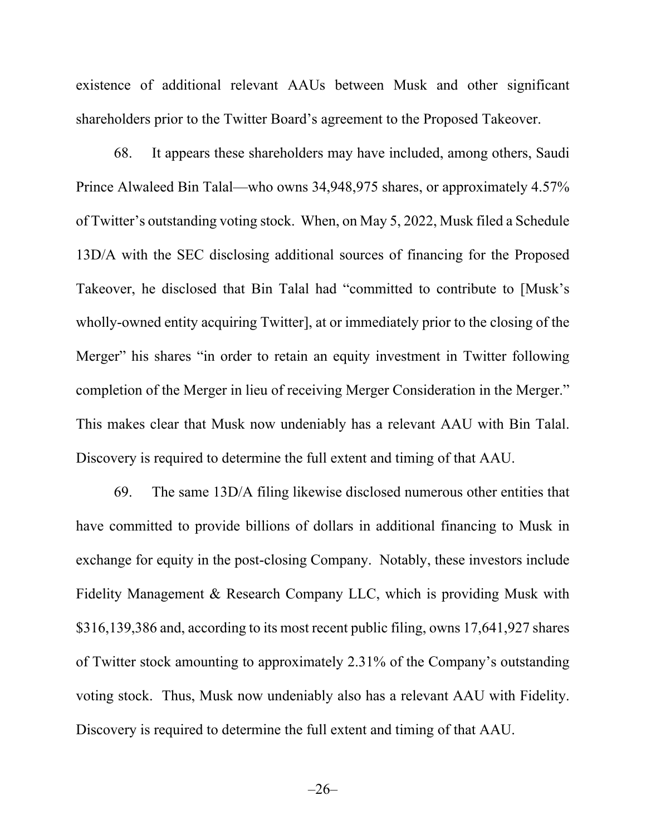existence of additional relevant AAUs between Musk and other significant shareholders prior to the Twitter Board's agreement to the Proposed Takeover.

68. It appears these shareholders may have included, among others, Saudi Prince Alwaleed Bin Talal—who owns 34,948,975 shares, or approximately 4.57% of Twitter's outstanding voting stock. When, on May 5, 2022, Musk filed a Schedule 13D/A with the SEC disclosing additional sources of financing for the Proposed Takeover, he disclosed that Bin Talal had "committed to contribute to [Musk's wholly-owned entity acquiring Twitter], at or immediately prior to the closing of the Merger" his shares "in order to retain an equity investment in Twitter following completion of the Merger in lieu of receiving Merger Consideration in the Merger." This makes clear that Musk now undeniably has a relevant AAU with Bin Talal. Discovery is required to determine the full extent and timing of that AAU.

69. The same 13D/A filing likewise disclosed numerous other entities that have committed to provide billions of dollars in additional financing to Musk in exchange for equity in the post-closing Company. Notably, these investors include Fidelity Management & Research Company LLC, which is providing Musk with \$316,139,386 and, according to its most recent public filing, owns 17,641,927 shares of Twitter stock amounting to approximately 2.31% of the Company's outstanding voting stock. Thus, Musk now undeniably also has a relevant AAU with Fidelity. Discovery is required to determine the full extent and timing of that AAU.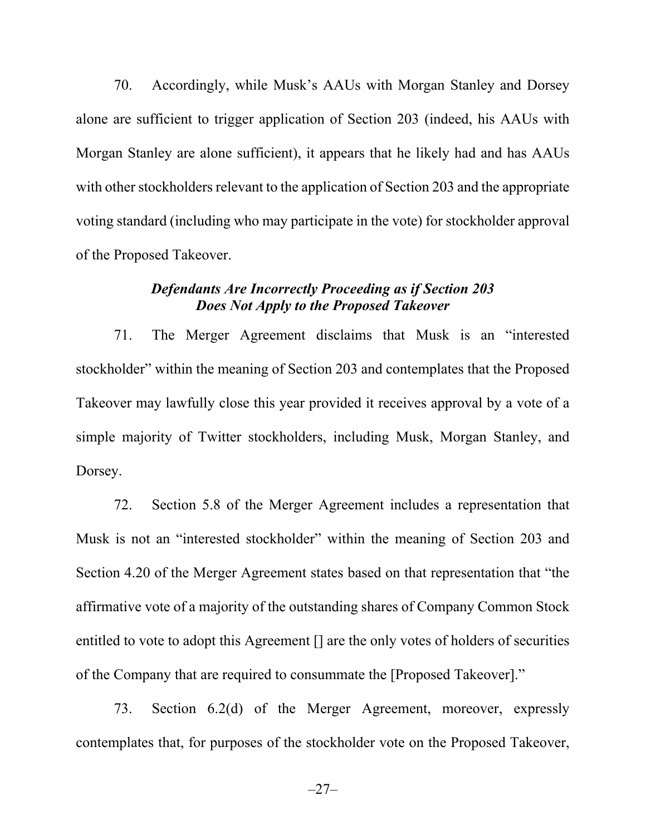70. Accordingly, while Musk's AAUs with Morgan Stanley and Dorsey alone are sufficient to trigger application of Section 203 (indeed, his AAUs with Morgan Stanley are alone sufficient), it appears that he likely had and has AAUs with other stockholders relevant to the application of Section 203 and the appropriate voting standard (including who may participate in the vote) for stockholder approval of the Proposed Takeover.

# *Defendants Are Incorrectly Proceeding as if Section 203 Does Not Apply to the Proposed Takeover*

71. The Merger Agreement disclaims that Musk is an "interested stockholder" within the meaning of Section 203 and contemplates that the Proposed Takeover may lawfully close this year provided it receives approval by a vote of a simple majority of Twitter stockholders, including Musk, Morgan Stanley, and Dorsey.

72. Section 5.8 of the Merger Agreement includes a representation that Musk is not an "interested stockholder" within the meaning of Section 203 and Section 4.20 of the Merger Agreement states based on that representation that "the affirmative vote of a majority of the outstanding shares of Company Common Stock entitled to vote to adopt this Agreement [] are the only votes of holders of securities of the Company that are required to consummate the [Proposed Takeover]."

73. Section 6.2(d) of the Merger Agreement, moreover, expressly contemplates that, for purposes of the stockholder vote on the Proposed Takeover,

–27–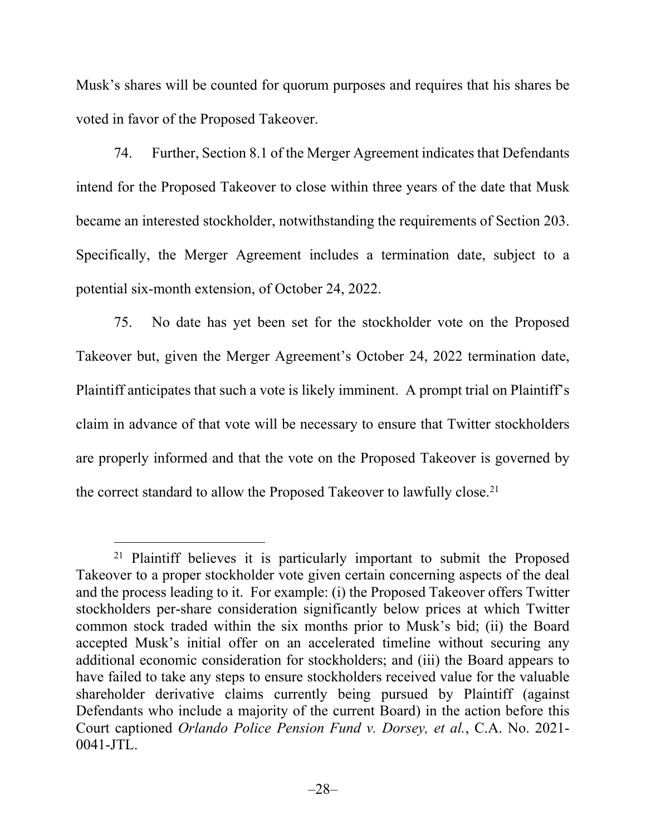Musk's shares will be counted for quorum purposes and requires that his shares be voted in favor of the Proposed Takeover.

74. Further, Section 8.1 of the Merger Agreement indicates that Defendants intend for the Proposed Takeover to close within three years of the date that Musk became an interested stockholder, notwithstanding the requirements of Section 203. Specifically, the Merger Agreement includes a termination date, subject to a potential six-month extension, of October 24, 2022.

75. No date has yet been set for the stockholder vote on the Proposed Takeover but, given the Merger Agreement's October 24, 2022 termination date, Plaintiff anticipates that such a vote is likely imminent. A prompt trial on Plaintiff's claim in advance of that vote will be necessary to ensure that Twitter stockholders are properly informed and that the vote on the Proposed Takeover is governed by the correct standard to allow the Proposed Takeover to lawfully close.<sup>21</sup>

<sup>&</sup>lt;sup>21</sup> Plaintiff believes it is particularly important to submit the Proposed Takeover to a proper stockholder vote given certain concerning aspects of the deal and the process leading to it. For example: (i) the Proposed Takeover offers Twitter stockholders per-share consideration significantly below prices at which Twitter common stock traded within the six months prior to Musk's bid; (ii) the Board accepted Musk's initial offer on an accelerated timeline without securing any additional economic consideration for stockholders; and (iii) the Board appears to have failed to take any steps to ensure stockholders received value for the valuable shareholder derivative claims currently being pursued by Plaintiff (against Defendants who include a majority of the current Board) in the action before this Court captioned *Orlando Police Pension Fund v. Dorsey, et al.*, C.A. No. 2021-  $0041 - JTL$ .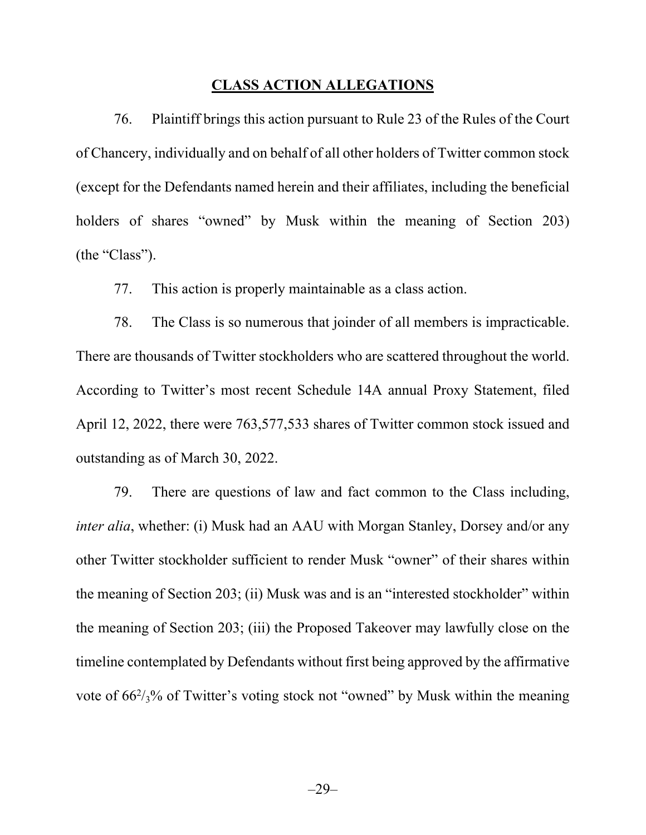#### **CLASS ACTION ALLEGATIONS**

76. Plaintiff brings this action pursuant to Rule 23 of the Rules of the Court of Chancery, individually and on behalf of all other holders of Twitter common stock (except for the Defendants named herein and their affiliates, including the beneficial holders of shares "owned" by Musk within the meaning of Section 203) (the "Class").

77. This action is properly maintainable as a class action.

78. The Class is so numerous that joinder of all members is impracticable. There are thousands of Twitter stockholders who are scattered throughout the world. According to Twitter's most recent Schedule 14A annual Proxy Statement, filed April 12, 2022, there were 763,577,533 shares of Twitter common stock issued and outstanding as of March 30, 2022.

79. There are questions of law and fact common to the Class including, *inter alia*, whether: (i) Musk had an AAU with Morgan Stanley, Dorsey and/or any other Twitter stockholder sufficient to render Musk "owner" of their shares within the meaning of Section 203; (ii) Musk was and is an "interested stockholder" within the meaning of Section 203; (iii) the Proposed Takeover may lawfully close on the timeline contemplated by Defendants without first being approved by the affirmative vote of  $66\frac{2}{3}$ % of Twitter's voting stock not "owned" by Musk within the meaning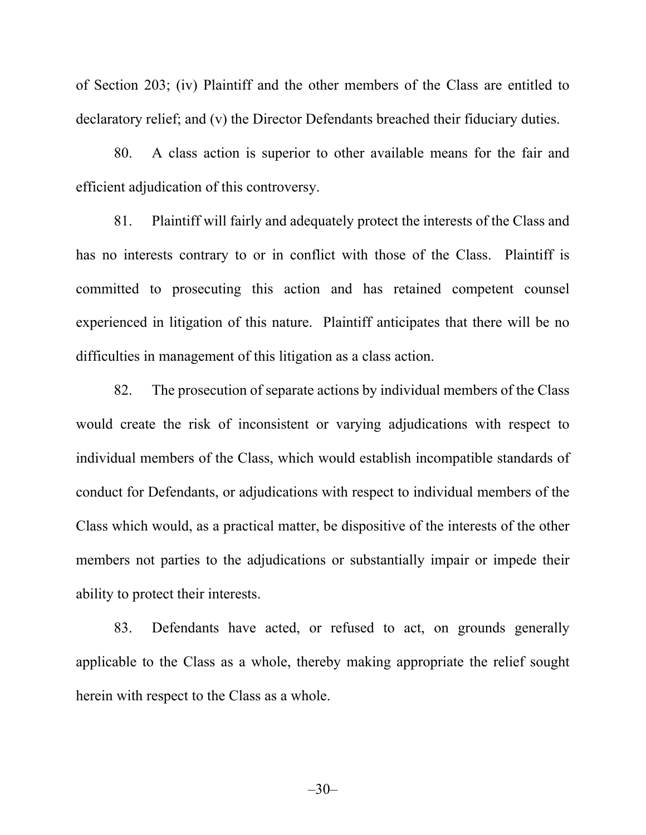of Section 203; (iv) Plaintiff and the other members of the Class are entitled to declaratory relief; and (v) the Director Defendants breached their fiduciary duties.

80. A class action is superior to other available means for the fair and efficient adjudication of this controversy.

81. Plaintiff will fairly and adequately protect the interests of the Class and has no interests contrary to or in conflict with those of the Class. Plaintiff is committed to prosecuting this action and has retained competent counsel experienced in litigation of this nature. Plaintiff anticipates that there will be no difficulties in management of this litigation as a class action.

82. The prosecution of separate actions by individual members of the Class would create the risk of inconsistent or varying adjudications with respect to individual members of the Class, which would establish incompatible standards of conduct for Defendants, or adjudications with respect to individual members of the Class which would, as a practical matter, be dispositive of the interests of the other members not parties to the adjudications or substantially impair or impede their ability to protect their interests.

83. Defendants have acted, or refused to act, on grounds generally applicable to the Class as a whole, thereby making appropriate the relief sought herein with respect to the Class as a whole.

–30–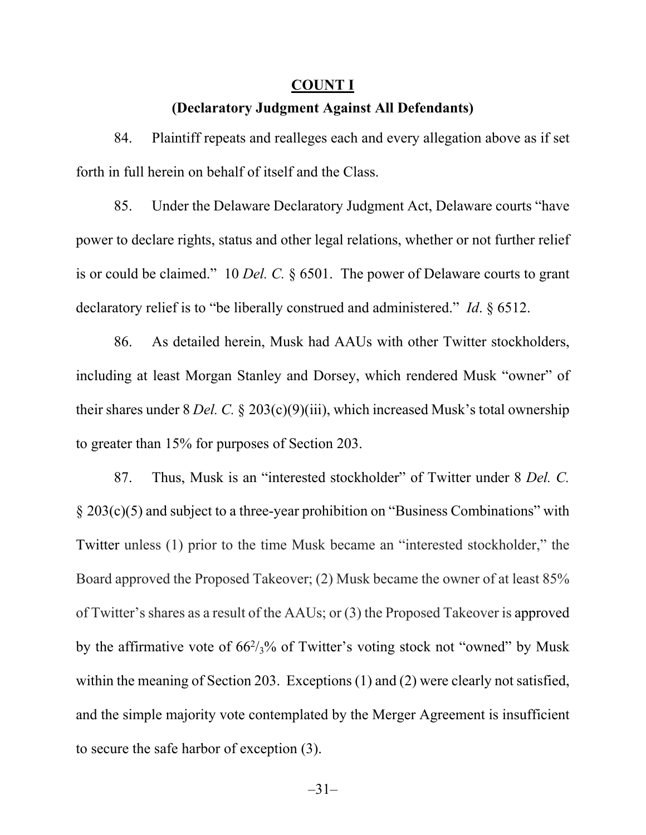#### **COUNT I**

## **(Declaratory Judgment Against All Defendants)**

84. Plaintiff repeats and realleges each and every allegation above as if set forth in full herein on behalf of itself and the Class.

85. Under the Delaware Declaratory Judgment Act, Delaware courts "have power to declare rights, status and other legal relations, whether or not further relief is or could be claimed." 10 *Del. C.* § 6501. The power of Delaware courts to grant declaratory relief is to "be liberally construed and administered." *Id*. § 6512.

86. As detailed herein, Musk had AAUs with other Twitter stockholders, including at least Morgan Stanley and Dorsey, which rendered Musk "owner" of their shares under 8 *Del. C.* § 203(c)(9)(iii), which increased Musk's total ownership to greater than 15% for purposes of Section 203.

87. Thus, Musk is an "interested stockholder" of Twitter under 8 *Del. C.*  § 203(c)(5) and subject to a three-year prohibition on "Business Combinations" with Twitter unless (1) prior to the time Musk became an "interested stockholder," the Board approved the Proposed Takeover; (2) Musk became the owner of at least 85% of Twitter's shares as a result of the AAUs; or (3) the Proposed Takeover is approved by the affirmative vote of  $66\frac{2}{3}\%$  of Twitter's voting stock not "owned" by Musk within the meaning of Section 203. Exceptions (1) and (2) were clearly not satisfied, and the simple majority vote contemplated by the Merger Agreement is insufficient to secure the safe harbor of exception (3).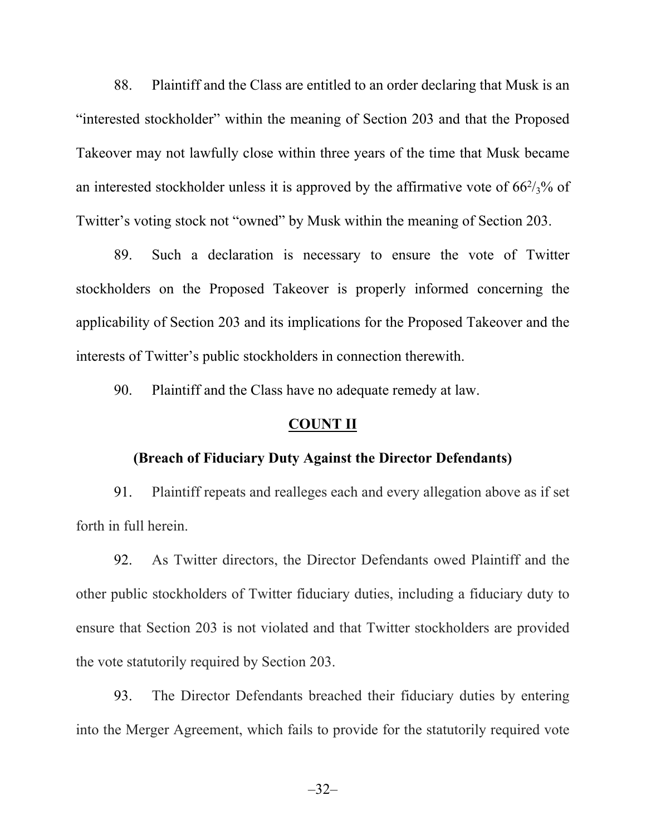88. Plaintiff and the Class are entitled to an order declaring that Musk is an "interested stockholder" within the meaning of Section 203 and that the Proposed Takeover may not lawfully close within three years of the time that Musk became an interested stockholder unless it is approved by the affirmative vote of  $66\frac{2}{3}\%$  of Twitter's voting stock not "owned" by Musk within the meaning of Section 203.

89. Such a declaration is necessary to ensure the vote of Twitter stockholders on the Proposed Takeover is properly informed concerning the applicability of Section 203 and its implications for the Proposed Takeover and the interests of Twitter's public stockholders in connection therewith.

90. Plaintiff and the Class have no adequate remedy at law.

## **COUNT II**

#### **(Breach of Fiduciary Duty Against the Director Defendants)**

91. Plaintiff repeats and realleges each and every allegation above as if set forth in full herein.

92. As Twitter directors, the Director Defendants owed Plaintiff and the other public stockholders of Twitter fiduciary duties, including a fiduciary duty to ensure that Section 203 is not violated and that Twitter stockholders are provided the vote statutorily required by Section 203.

93. The Director Defendants breached their fiduciary duties by entering into the Merger Agreement, which fails to provide for the statutorily required vote

–32–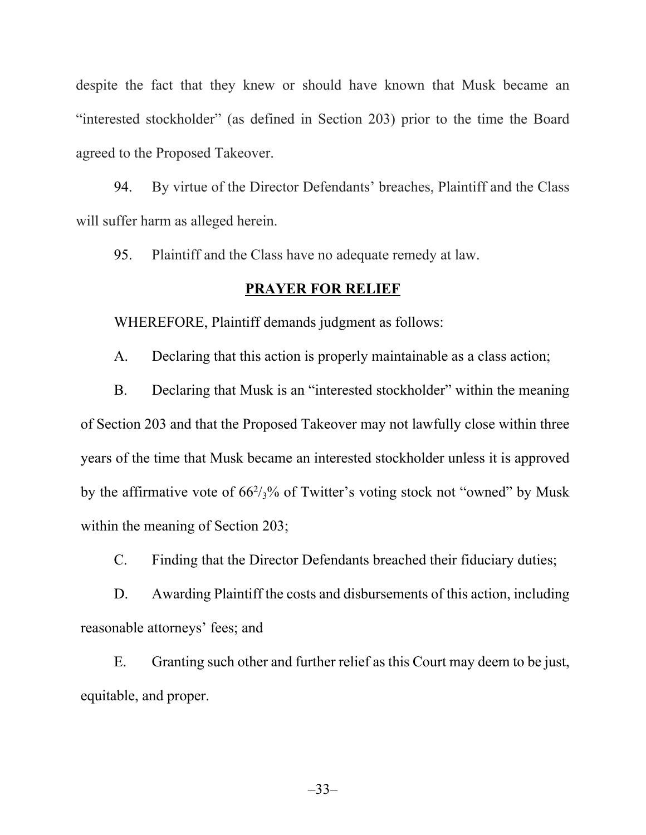despite the fact that they knew or should have known that Musk became an "interested stockholder" (as defined in Section 203) prior to the time the Board agreed to the Proposed Takeover.

94. By virtue of the Director Defendants' breaches, Plaintiff and the Class will suffer harm as alleged herein.

95. Plaintiff and the Class have no adequate remedy at law.

#### **PRAYER FOR RELIEF**

WHEREFORE, Plaintiff demands judgment as follows:

A. Declaring that this action is properly maintainable as a class action;

B. Declaring that Musk is an "interested stockholder" within the meaning of Section 203 and that the Proposed Takeover may not lawfully close within three years of the time that Musk became an interested stockholder unless it is approved by the affirmative vote of  $66\frac{2}{3}\%$  of Twitter's voting stock not "owned" by Musk within the meaning of Section 203;

C. Finding that the Director Defendants breached their fiduciary duties;

D. Awarding Plaintiff the costs and disbursements of this action, including reasonable attorneys' fees; and

E. Granting such other and further relief as this Court may deem to be just, equitable, and proper.